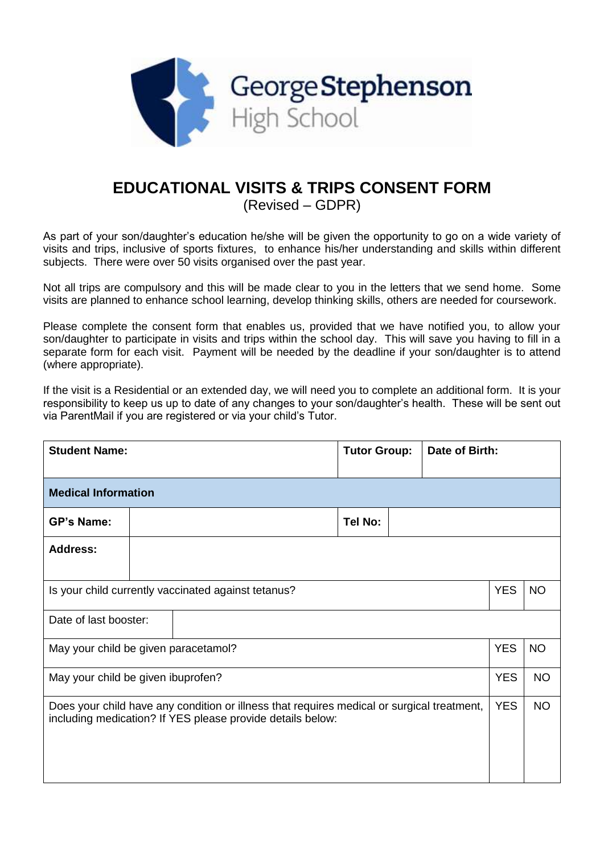

## **EDUCATIONAL VISITS & TRIPS CONSENT FORM**

(Revised – GDPR)

As part of your son/daughter's education he/she will be given the opportunity to go on a wide variety of visits and trips, inclusive of sports fixtures, to enhance his/her understanding and skills within different subjects. There were over 50 visits organised over the past year.

Not all trips are compulsory and this will be made clear to you in the letters that we send home. Some visits are planned to enhance school learning, develop thinking skills, others are needed for coursework.

Please complete the consent form that enables us, provided that we have notified you, to allow your son/daughter to participate in visits and trips within the school day. This will save you having to fill in a separate form for each visit. Payment will be needed by the deadline if your son/daughter is to attend (where appropriate).

If the visit is a Residential or an extended day, we will need you to complete an additional form. It is your responsibility to keep us up to date of any changes to your son/daughter's health. These will be sent out via ParentMail if you are registered or via your child's Tutor.

| <b>Student Name:</b>                                                                                                                                     |  |  | <b>Tutor Group:</b> |         | Date of Birth: |            |           |  |  |
|----------------------------------------------------------------------------------------------------------------------------------------------------------|--|--|---------------------|---------|----------------|------------|-----------|--|--|
| <b>Medical Information</b>                                                                                                                               |  |  |                     |         |                |            |           |  |  |
| <b>GP's Name:</b>                                                                                                                                        |  |  |                     | Tel No: |                |            |           |  |  |
| Address:                                                                                                                                                 |  |  |                     |         |                |            |           |  |  |
| Is your child currently vaccinated against tetanus?                                                                                                      |  |  |                     |         | <b>YES</b>     | <b>NO</b>  |           |  |  |
| Date of last booster:                                                                                                                                    |  |  |                     |         |                |            |           |  |  |
| May your child be given paracetamol?                                                                                                                     |  |  |                     |         |                | <b>YES</b> | <b>NO</b> |  |  |
| May your child be given ibuprofen?                                                                                                                       |  |  |                     |         |                | <b>YES</b> | <b>NO</b> |  |  |
| Does your child have any condition or illness that requires medical or surgical treatment,<br>including medication? If YES please provide details below: |  |  |                     |         |                | <b>YES</b> | <b>NO</b> |  |  |